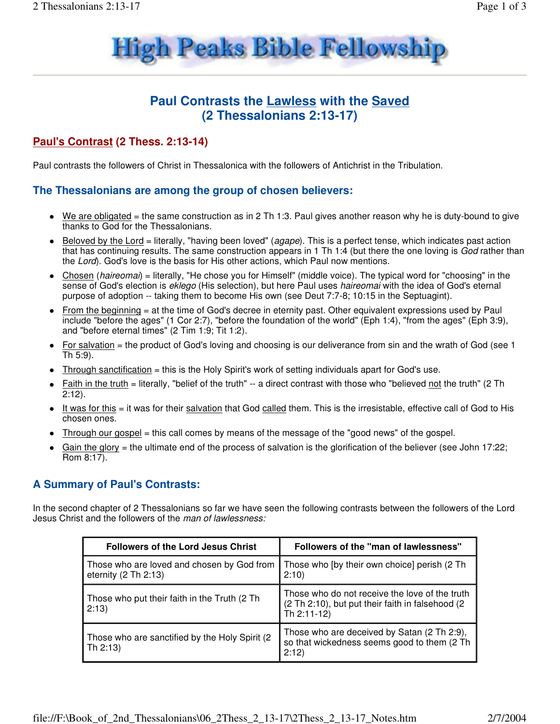

# **Paul Contrasts the Lawless with the Saved (2 Thessalonians 2:13-17)**

# **Paul's Contrast (2 Thess. 2:13-14)**

Paul contrasts the followers of Christ in Thessalonica with the followers of Antichrist in the Tribulation.

## **The Thessalonians are among the group of chosen believers:**

- We are obligated = the same construction as in 2 Th 1:3. Paul gives another reason why he is duty-bound to give thanks to God for the Thessalonians.
- Beloved by the Lord = literally, "having been loved" (*agape*). This is a perfect tense, which indicates past action that has continuing results. The same construction appears in 1 Th 1:4 (but there the one loving is God rather than the Lord). God's love is the basis for His other actions, which Paul now mentions.
- Chosen (haireomai) = literally, "He chose you for Himself" (middle voice). The typical word for "choosing" in the sense of God's election is eklego (His selection), but here Paul uses haireomai with the idea of God's eternal purpose of adoption -- taking them to become His own (see Deut 7:7-8; 10:15 in the Septuagint).
- From the beginning = at the time of God's decree in eternity past. Other equivalent expressions used by Paul include "before the ages" (1 Cor 2:7), "before the foundation of the world" (Eph 1:4), "from the ages" (Eph 3:9), and "before eternal times" (2 Tim 1:9; Tit 1:2).
- For salvation = the product of God's loving and choosing is our deliverance from sin and the wrath of God (see 1) Th 5:9).
- Through sanctification = this is the Holy Spirit's work of setting individuals apart for God's use.
- Faith in the truth = literally, "belief of the truth" -- a direct contrast with those who "believed not the truth" (2 Th 2:12).
- It was for this = it was for their salvation that God called them. This is the irresistable, effective call of God to His chosen ones.
- Through our gospel = this call comes by means of the message of the "good news" of the gospel.
- Gain the glory = the ultimate end of the process of salvation is the glorification of the believer (see John 17:22; Rom 8:17).

### **A Summary of Paul's Contrasts:**

In the second chapter of 2 Thessalonians so far we have seen the following contrasts between the followers of the Lord Jesus Christ and the followers of the man of lawlessness:

| <b>Followers of the Lord Jesus Christ</b>                            | Followers of the "man of lawlessness"                                                                             |
|----------------------------------------------------------------------|-------------------------------------------------------------------------------------------------------------------|
| Those who are loved and chosen by God from<br>eternity $(2 Th 2:13)$ | Those who [by their own choice] perish (2 Th<br>2:10                                                              |
| Those who put their faith in the Truth (2 Th<br>2:13)                | Those who do not receive the love of the truth<br>(2 Th 2:10), but put their faith in falsehood (2<br>Th 2:11-12) |
| Those who are sanctified by the Holy Spirit (2)<br>Th 2:13)          | Those who are deceived by Satan (2 Th 2:9),<br>so that wickedness seems good to them (2 Th<br>2:12)               |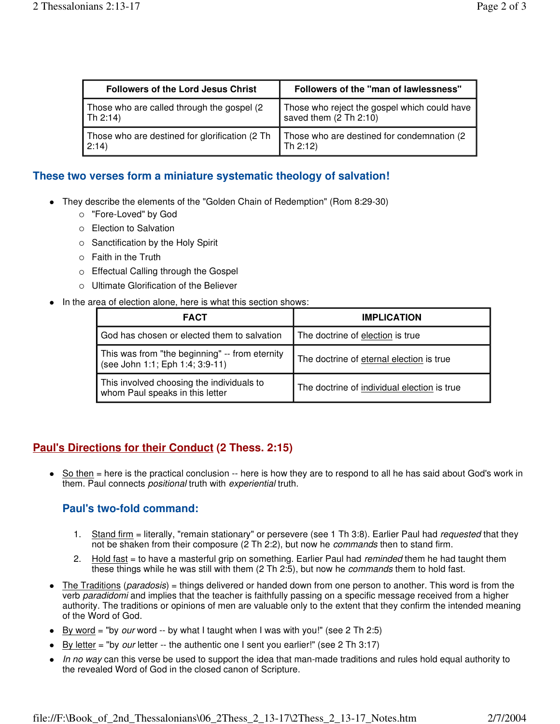| <b>Followers of the Lord Jesus Christ</b>      | Followers of the "man of lawlessness"        |
|------------------------------------------------|----------------------------------------------|
| Those who are called through the gospel (2)    | Those who reject the gospel which could have |
| $\vert$ Th 2:14)                               | saved them (2 Th 2:10)                       |
| Those who are destined for glorification (2 Th | Those who are destined for condemnation (2)  |
| 2:14                                           | Th $2:12$                                    |

### **These two verses form a miniature systematic theology of salvation!**

- They describe the elements of the "Golden Chain of Redemption" (Rom 8:29-30)
	- o "Fore-Loved" by God
	- o Election to Salvation
	- $\circ$  Sanctification by the Holy Spirit
	- Faith in the Truth
	- o Effectual Calling through the Gospel
	- Ultimate Glorification of the Believer
- In the area of election alone, here is what this section shows:

| <b>FACT</b>                                                                       | <b>IMPLICATION</b>                          |
|-----------------------------------------------------------------------------------|---------------------------------------------|
| God has chosen or elected them to salvation                                       | The doctrine of election is true            |
| This was from "the beginning" -- from eternity<br>(see John 1:1; Eph 1:4; 3:9-11) | The doctrine of eternal election is true    |
| This involved choosing the individuals to<br>whom Paul speaks in this letter      | The doctrine of individual election is true |

## **Paul's Directions for their Conduct (2 Thess. 2:15)**

 $\bullet$  So then  $=$  here is the practical conclusion  $-$  here is how they are to respond to all he has said about God's work in them. Paul connects *positional* truth with *experiential* truth.

## **Paul's two-fold command:**

- 1. Stand firm = literally, "remain stationary" or persevere (see 1 Th 3:8). Earlier Paul had *requested* that they not be shaken from their composure (2 Th 2:2), but now he *commands* then to stand firm.
- 2. Hold fast = to have a masterful grip on something. Earlier Paul had *reminded* them he had taught them these things while he was still with them (2 Th 2:5), but now he commands them to hold fast.
- The Traditions (paradosis) = things delivered or handed down from one person to another. This word is from the verb paradidomi and implies that the teacher is faithfully passing on a specific message received from a higher authority. The traditions or opinions of men are valuable only to the extent that they confirm the intended meaning of the Word of God.
- By word = "by *our* word  $-$  by what I taught when I was with you!" (see 2 Th 2:5)
- By letter = "by *our* letter  $-$  the authentic one I sent you earlier!" (see 2 Th 3:17)
- In no way can this verse be used to support the idea that man-made traditions and rules hold equal authority to the revealed Word of God in the closed canon of Scripture.